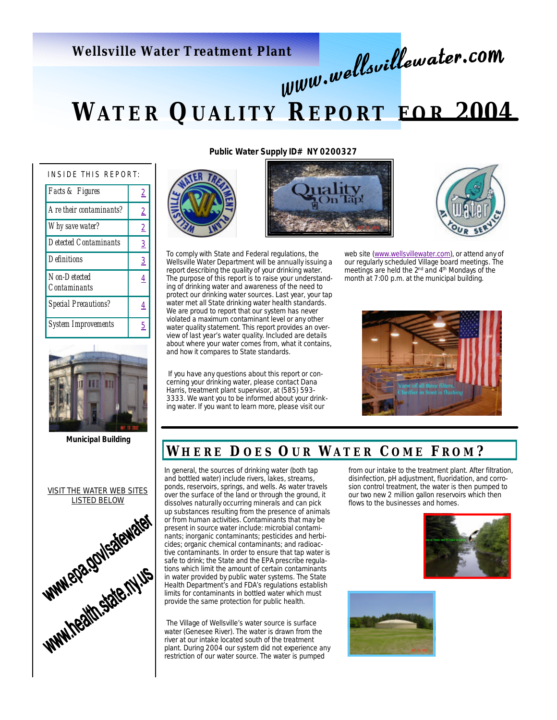# **Wellsville Water Treatment Plant**

# **WATER QUALITY R EPORT FOR 2004**

| INSIDE THIS REPORT:          |                |  |  |  |
|------------------------------|----------------|--|--|--|
| Facts & Figures              | $\overline{2}$ |  |  |  |
| Are their contaminants?      | $\overline{2}$ |  |  |  |
| Why save water?              | $\overline{2}$ |  |  |  |
| <b>Detected Contaminants</b> | $\overline{3}$ |  |  |  |
| <b>Definitions</b>           | $\overline{3}$ |  |  |  |
| Non-Detected<br>Contaminants | 4              |  |  |  |
| <b>Special Precautions?</b>  | 4              |  |  |  |
| <b>System Improvements</b>   | 5              |  |  |  |



**Municipal Building**



**Public Water Supply ID# NY 0200327**





To comply with State and Federal regulations, the Wellsville Water Department will be annually issuing a report describing the quality of your drinking water. The purpose of this report is to raise your understanding of drinking water and awareness of the need to protect our drinking water sources. Last year, your tap water met all State drinking water health standards. We are proud to report that our system has never violated a maximum contaminant level or any other water quality statement. This report provides an overview of last year's water quality. Included are details about where your water comes from, what it contains, and how it compares to State standards.

 If you have any questions about this report or concerning your drinking water, please contact Dana Harris, treatment plant supervisor, at (585) 593- 3333. We want you to be informed about your drinking water. If you want to learn more, please visit our



web site (www.wellsvillewater.com), or attend any of our regularly scheduled Village board meetings. The meetings are held the 2nd and 4th Mondays of the month at 7:00 p.m. at the municipal building.

### **W HERE D OES O U R W ATER C OME F ROM ?**

In general, the sources of drinking water (both tap and bottled water) include rivers, lakes, streams, ponds, reservoirs, springs, and wells. As water travels over the surface of the land or through the ground, it dissolves naturally occurring minerals and can pick up substances resulting from the presence of animals or from human activities. Contaminants that may be present in source water include: microbial contaminants; inorganic contaminants; pesticides and herbicides; organic chemical contaminants; and radioactive contaminants. In order to ensure that tap water is safe to drink; the State and the EPA prescribe regulations which limit the amount of certain contaminants in water provided by public water systems. The State Health Department's and FDA's regulations establish limits for contaminants in bottled water which must provide the same protection for public health.

 The Village of Wellsville's water source is surface water (Genesee River). The water is drawn from the river at our intake located south of the treatment plant. During 2004 our system did not experience any restriction of our water source. The water is pumped

from our intake to the treatment plant. After filtration, disinfection, pH adjustment, fluoridation, and corrosion control treatment, the water is then pumped to our two new 2 million gallon reservoirs which then flows to the businesses and homes.



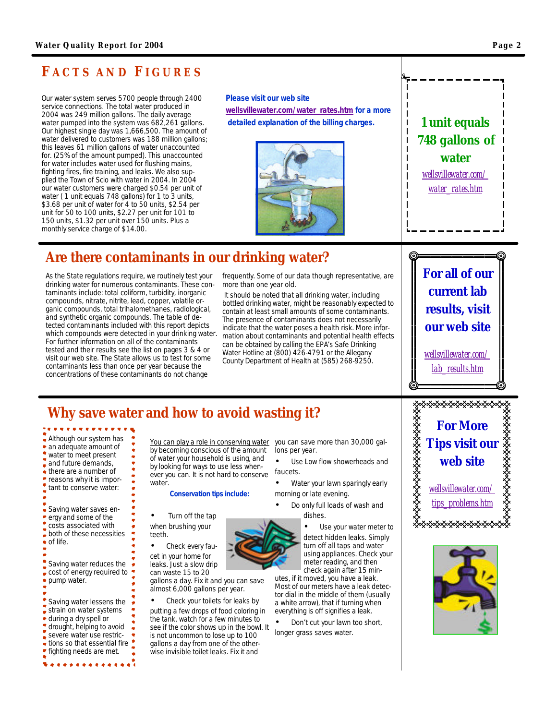# **F ACTS AND FIGURES**

Our water system serves 5700 people through 2400 service connections. The total water produced in 2004 was 249 million gallons. The daily average water pumped into the system was 682,261 gallons. Our highest single day was 1,666,500. The amount of water delivered to customers was 188 million gallons; this leaves 61 million gallons of water unaccounted for. (25% of the amount pumped). This unaccounted for water includes water used for flushing mains, fighting fires, fire training, and leaks. We also supplied the Town of Scio with water in 2004. In 2004 our water customers were charged \$0.54 per unit of water ( 1 unit equals 748 gallons) for 1 to 3 units, \$3.68 per unit of water for 4 to 50 units, \$2.54 per unit for 50 to 100 units, \$2.27 per unit for 101 to 150 units, \$1.32 per unit over 150 units. Plus a monthly service charge of \$14.00.

**Please visit our web site wellsvillewater.com/water\_rates.htm for a more detailed explanation of the billing charges.**



# **Are there contaminants in our drinking water?**

As the State regulations require, we routinely test your drinking water for numerous contaminants. These contaminants include: total coliform, turbidity, inorganic compounds, nitrate, nitrite, lead, copper, volatile organic compounds, total trihalomethanes, radiological, and synthetic organic compounds. The table of detected contaminants included with this report depicts which compounds were detected in your drinking water. For further information on all of the contaminants tested and their results see the list on pages 3 & 4 or visit our web site. The State allows us to test for some contaminants less than once per year because the concentrations of these contaminants do not change

frequently. Some of our data though representative, are more than one year old.

 It should be noted that all drinking water, including bottled drinking water, might be reasonably expected to contain at least small amounts of some contaminants. The presence of contaminants does not necessarily indicate that the water poses a health risk. More information about contaminants and potential health effects can be obtained by calling the EPA's Safe Drinking Water Hotline at (800) 426-4791 or the Allegany County Department of Health at (585) 268-9250.

*For all of our current lab results, visit our web site*

*1 unit equals 748 gallons of water wellsvillewater.com/ water\_rates.htm*

*wellsvillewater.com/ lab\_results.htm*

# **Why save water and how to avoid wasting it?**

Although our system has • an adequate amount of water to meet present and future demands, ● there are a number of reasons why it is important to conserve water: Saving water saves energy and some of the costs associated with both of these necessities of life. Saving water reduces the cost of energy required to pump water. Saving water lessens the strain on water systems during a dry spell or drought, helping to avoid severe water use restrictions so that essential fire fighting needs are met. water.

 $............$ 

You can play a role in conserving water by becoming conscious of the amount of water your household is using, and by looking for ways to use less whenever you can. It is not hard to conserve

#### **Conservation tips include:**

• Turn off the tap when brushing your teeth.

Check every faucet in your home for leaks. Just a slow drip can waste 15 to 20

gallons a day. Fix it and you can save almost 6,000 gallons per year.

• Check your toilets for leaks by putting a few drops of food coloring in the tank, watch for a few minutes to see if the color shows up in the bowl. It is not uncommon to lose up to 100 gallons a day from one of the otherwise invisible toilet leaks. Fix it and

you can save more than 30,000 gallons per year.

Use Low flow showerheads and faucets.

• Water your lawn sparingly early morning or late evening.

• Do only full loads of wash and dishes.

> Use your water meter to detect hidden leaks. Simply turn off all taps and water using appliances. Check your meter reading, and then check again after 15 min-

utes, if it moved, you have a leak. Most of our meters have a leak detector dial in the middle of them (usually a white arrow), that if turning when everything is off signifies a leak.

• Don't cut your lawn too short, longer grass saves water.





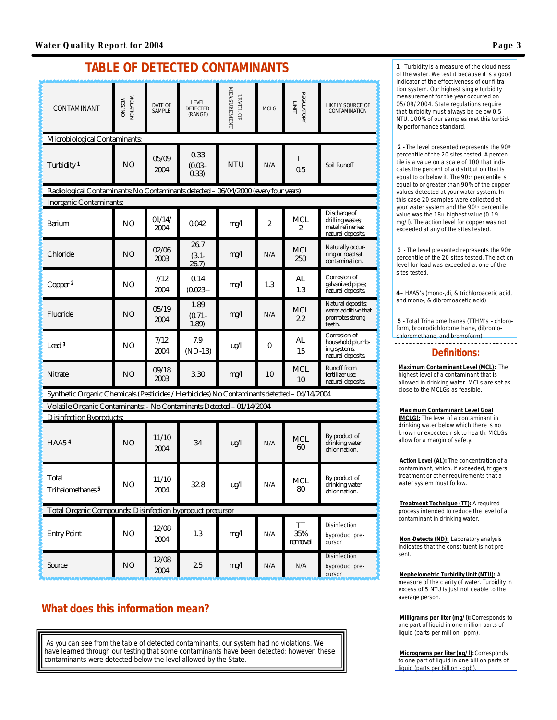# *TABLE OF DETECTED CONTAMINANTS*

| CONTAMINANT                                                                                 | <b>VIOLIATION</b> | DATE OF<br><b>SAMPLE</b> | <b>LEVEL</b><br><b>DETECTED</b><br>(RANGE) | <b>MEASUREMENT</b><br>LEVEL OF      | <b>MCLG</b>             | <b>REGULATORY</b><br><b>LIMIT</b> | LIKELY SOURCE OF<br>CONTAMINATION                                                 |
|---------------------------------------------------------------------------------------------|-------------------|--------------------------|--------------------------------------------|-------------------------------------|-------------------------|-----------------------------------|-----------------------------------------------------------------------------------|
| <b>Microbiological Contaminants:</b>                                                        |                   |                          |                                            |                                     |                         |                                   |                                                                                   |
| Turbidity <sup>1</sup>                                                                      | N <sub>O</sub>    | 05/09<br>2004            | 0.33<br>$(0.03 -$<br>0.33)                 | <b>NTU</b>                          | N/A                     | TT<br>0.5                         | <b>Soil Runoff</b>                                                                |
| Radiological Contaminants: No Contaminants detected - 06/04/2000 (every four years)         |                   |                          |                                            |                                     |                         |                                   |                                                                                   |
| <b>Inorganic Contaminants:</b>                                                              |                   |                          |                                            |                                     |                         |                                   |                                                                                   |
| <b>Baium</b>                                                                                | N <sub>O</sub>    | 01/14/<br>2004           | 0.042                                      | mg/l                                | 2                       | <b>MCL</b><br>2                   | <b>Discharge of</b><br>drilling wastes;<br>metal refineries;<br>natural deposits. |
| <b>Chloride</b>                                                                             | N <sub>O</sub>    | 02/06<br>2003            | 26.7<br>$(3.1 -$<br>26.7)                  | mg/1                                | N/A                     | <b>MCL</b><br>250                 | Naturally occur-<br>ring or road salt<br>contamination.                           |
| Copper <sup>2</sup>                                                                         | N <sub>O</sub>    | 7/12<br>2004             | 0.14<br>$(0.023 -$                         | mg/l                                | 1.3                     | AL<br>1.3                         | <b>Corrosion</b> of<br>galvanized pipes;<br>natural deposits.                     |
| <b>Fluoride</b>                                                                             | N <sub>O</sub>    | 05/19<br>2004            | 1.89<br>$(0.71 -$<br>1.89)                 | mg/1                                | N/A                     | <b>MCL</b><br>22                  | <b>Natural deposits</b><br>water additive that<br>promotes strong<br>teeth.       |
| Lead <sup>3</sup>                                                                           | N <sub>O</sub>    | 7/12<br>2004             | 7.9<br>$(ND-13)$                           | ug/l                                | 0                       | AL<br>15                          | <b>Corrosion</b> of<br>household plumb-<br>ing systems;<br>natural deposits.      |
| <b>Nitrate</b>                                                                              | N <sub>O</sub>    | 09/18<br>2003            | 3.30                                       | mg/l                                | 10                      | <b>MCL</b><br>10                  | <b>Runoff from</b><br>fertilizer use;<br>natural deposits.                        |
| Synthetic Organic Chemicals (Pesticides / Herbicides) No Contaminants detected - 04/14/2004 |                   |                          |                                            |                                     |                         |                                   |                                                                                   |
| Volatile Organic Contaminants. - No Contaminants Detected - 01/14/2004                      |                   |                          |                                            |                                     |                         |                                   |                                                                                   |
| <b>Disinfection Byproducts:</b>                                                             |                   |                          |                                            |                                     |                         |                                   |                                                                                   |
| <b>HAA54</b>                                                                                | N <sub>O</sub>    | 11/10<br>2004            | 34                                         | ug/l                                | N/A                     | <b>MCL</b><br>60                  | By product of<br>drinking water<br>chlorination.                                  |
| <b>Total</b><br>Trihalomethanes <sup>5</sup>                                                | N <sub>0</sub>    | 11/10<br>2004            | 32 R                                       | $\mathbf{u}\mathbf{g} / \mathbf{l}$ | N/A                     | <b>MCL</b><br>80                  | By product of<br>drinking water<br>chlorination.                                  |
| <b>Total Organic Compounds: Disinfection byproduct precursor</b>                            |                   |                          |                                            |                                     |                         |                                   |                                                                                   |
| <b>Entry Point</b>                                                                          | N <sub>O</sub>    | 12/08<br>2004            | 1.3                                        | mg/l                                | N/A                     | TT<br>35%<br>removal              | Disinfection<br>byproduct pre-<br>cursor                                          |
| Source                                                                                      | N <sub>O</sub>    | 12/08<br>2004            | 2.5                                        | mg/l                                | $\mathbf{N}/\mathbf{A}$ | N/A                               | Disinfection<br>byproduct pre-<br>cursor                                          |

## **What does this information mean?**

As you can see from the table of detected contaminants, our system had no violations. We have learned through our testing that some contaminants have been detected: however, these contaminants were detected below the level allowed by the State.

**1** - Turbidity is a measure of the cloudiness of the water. We test it because it is a good indicator of the effectiveness of our filtration system. Our highest single turbidity measurement for the year occurred on 05/09/2004. State regulations require that turbidity must always be below 0.5 NTU. 100% of our samples met this turbidity performance standard.

**2** - The level presented represents the 90th percentile of the 20 sites tested. A percentile is a value on a scale of 100 that indicates the percent of a distribution that is equal to or below it. The 90th percentile is equal to or greater than 90% of the copper values detected at your water system. In this case 20 samples were collected at your water system and the 90<sup>th</sup> percentile value was the 18th highest value (0.19 mg/l). The action level for copper was not exceeded at any of the sites tested.

**3** - The level presented represents the 90th percentile of the 20 sites tested. The action level for lead was exceeded at one of the sites tested.

**4**– HAA5's (mono-,di, & trichloroacetic acid, and mono-, & dibromoacetic acid)

**5** - Total Trihalomethanes (TTHM's - chloroform, bromodichloromethane, dibromochloromethane, and bromoform)

#### **Definitions:**

*Maximum Contaminant Level* **(MCL):** The highest level of a contaminant that is allowed in drinking water. MCLs are set as close to the MCLGs as feasible.

#### *Maximum Contaminant Level Goal*

**(MCLG):** The level of a contaminant in drinking water below which there is no known or expected risk to health. MCLGs allow for a margin of safety.

**Action Level (AL):** The concentration of a contaminant, which, if exceeded, triggers treatment or other requirements that a water system must follow.

*Treatment Technique* **(TT):** A required process intended to reduce the level of a contaminant in drinking water.

*Non-Detects* **(ND):** Laboratory analysis indicates that the constituent is not present.

*Nephelometric Turbidity Unit* **(NTU):** A measure of the clarity of water. Turbidity in excess of 5 NTU is just noticeable to the average person.

**Milligrams per liter (mg/l):** Corresponds to one part of liquid in one million parts of liquid (parts per million - ppm).

**Micrograms per liter (ug/l):** Corresponds to one part of liquid in one billion parts of liquid (parts per billion - ppb).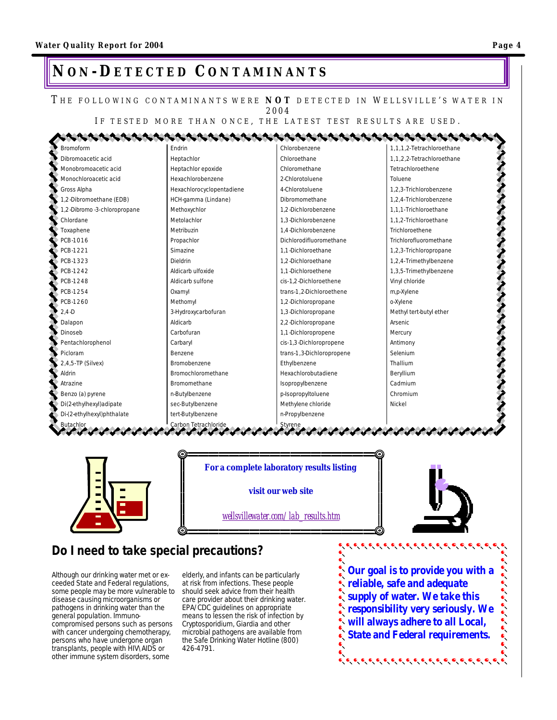# **NO N -DETECTED C ONTAMINANTS**

#### THE FOLLOWING CONTAMINANTS WERE **NOT** DETECTED IN WELLSVILLE'S WATER IN 2004

IF TESTED MORE THAN ONCE, THE LATEST TEST RESULTS ARE USED.

| Bromoform                     | Endrin                    | Chlorobenzene             | 1,1,1,2-Tetrachloroethane |
|-------------------------------|---------------------------|---------------------------|---------------------------|
| Dibromoacetic acid            | Heptachlor                | Chloroethane              | 1,1,2,2-Tetrachloroethane |
| Monobromoacetic acid          | Heptachlor epoxide        | Chloromethane             | Tetrachloroethene         |
| Monochloroacetic acid         | Hexachlorobenzene         | 2-Chlorotoluene           | Toluene                   |
| Gross Alpha                   | Hexachlorocyclopentadiene | 4-Chlorotoluene           | 1,2,3-Trichlorobenzene    |
| 1,2-Dibromoethane (EDB)       | HCH-gamma (Lindane)       | Dibromomethane            | 1.2.4-Trichlorobenzene    |
| 1,2-Dibromo -3-chloropropane  | Methoxychlor              | 1.2-Dichlorobenzene       | 1.1.1-Trichloroethane     |
| Chlordane                     | Metolachlor               | 1.3-Dichlorobenzene       | 1,1,2-Trichloroethane     |
| Toxaphene                     | Metribuzin                | 1.4-Dichlorobenzene       | Trichloroethene           |
| PCB-1016                      | Propachlor                | Dichlorodifluoromethane   | Trichlorofluoromethane    |
| PCB-1221                      | Simazine                  | 1.1-Dichloroethane        | 1,2,3-Trichloropropane    |
| PCB-1323                      | Dieldrin                  | 1.2-Dichloroethane        | 1,2,4-Trimethylbenzene    |
| PCB-1242                      | Aldicarb ulfoxide         | 1.1-Dichloroethene        | 1,3,5-Trimethylbenzene    |
| PCB-1248                      | Aldicarb sulfone          | cis-1.2-Dichloroethene    | Vinyl chloride            |
| PCB-1254                      | Oxamyl                    | trans-1,2-Dichloroethene  | m,p-Xylene                |
| PCB-1260                      | Methomyl                  | 1,2-Dichloropropane       | o-Xylene                  |
| $2.4 - D$                     | 3-Hydroxycarbofuran       | 1,3-Dichloropropane       | Methyl tert-butyl ether   |
| Dalapon                       | Aldicarb                  | 2,2-Dichloropropane       | Arsenic                   |
| Dinoseb                       | Carbofuran                | 1,1-Dichloropropene       | Mercury                   |
| Pentachlorophenol             | Carbaryl                  | cis-1,3-Dichloropropene   | Antimony                  |
| Picloram                      | Benzene                   | trans-1,3-Dichloropropene | Selenium                  |
| 2,4,5-TP (Silvex)             | Bromobenzene              | Ethylbenzene              | Thallium                  |
| Aldrin                        | Bromochloromethane        | Hexachlorobutadiene       | Beryllium                 |
| Atrazine                      | Bromomethane              | Isopropylbenzene          | Cadmium                   |
| Benzo (a) pyrene              | n-Butylbenzene            | p-Isopropyltoluene        | Chromium                  |
| Di(2-ethylhexyl)adipate       | sec-Butylbenzene          | Methylene chloride        | Nickel                    |
| Di-(2-ethylhexyl)phthalate    | tert-Butylbenzene         | n-Propylbenzene           |                           |
| <b>Butachlor</b><br>とくよう ようきん | Carbon Tetrachloride      | Styrene                   |                           |

*For a complete laboratory results listing* 

*visit our web site*

*wellsvillewater.com/lab\_results.htm*



# **Do I need to take special precautions?**

Although our drinking water met or exceeded State and Federal regulations, some people may be more vulnerable to disease causing microorganisms or pathogens in drinking water than the general population. Immunocompromised persons such as persons with cancer undergoing chemotherapy, persons who have undergone organ transplants, people with HIV\AIDS or other immune system disorders, some

elderly, and infants can be particularly at risk from infections. These people should seek advice from their health care provider about their drinking water. EPA/CDC guidelines on appropriate means to lessen the risk of infection by Cryptosporidium, Giardia and other microbial pathogens are available from the Safe Drinking Water Hotline (800) 426-4791.

**Our goal is to provide you with a reliable, safe and adequate supply of water. We take this responsibility very seriously. We will always adhere to all Local, State and Federal requirements.** 

ده و د د د د د د د د د د د د